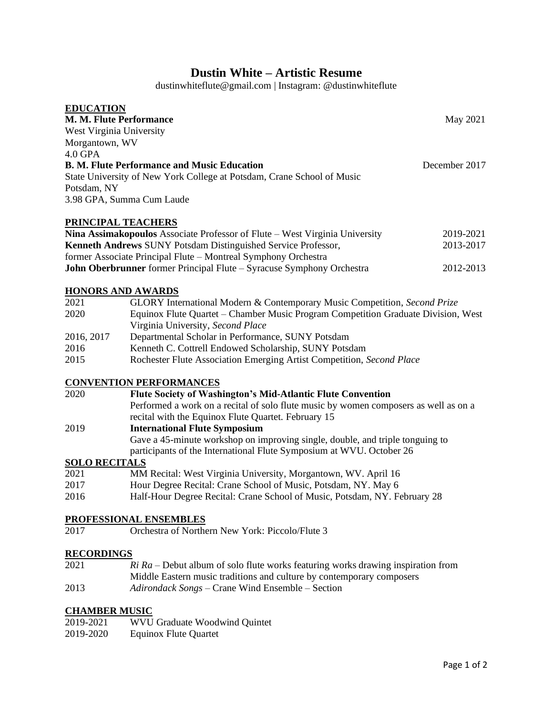# **Dustin White – Artistic Resume**

dustinwhiteflute@gmail.com | Instagram: @dustinwhiteflute

| <b>EDUCATION</b>                                                            |               |
|-----------------------------------------------------------------------------|---------------|
| <b>M. M. Flute Performance</b>                                              | May 2021      |
| West Virginia University                                                    |               |
| Morgantown, WV                                                              |               |
| $4.0$ GPA                                                                   |               |
| <b>B. M. Flute Performance and Music Education</b>                          | December 2017 |
| State University of New York College at Potsdam, Crane School of Music      |               |
| Potsdam, NY                                                                 |               |
| 3.98 GPA, Summa Cum Laude                                                   |               |
| PRINCIPAL TEACHERS                                                          |               |
| Nina Assimakopoulos Associate Professor of Flute – West Virginia University | 2019-2021     |
| <b>Kenneth Andrews SUNY Potsdam Distinguished Service Professor,</b>        | 2013-2017     |
| former Associate Principal Flute – Montreal Symphony Orchestra              |               |

|  | John Oberbrunner former Principal Flute - Syracuse Symphony Orchestra | 2012-2013 |
|--|-----------------------------------------------------------------------|-----------|

#### **HONORS AND AWARDS**

| 2021       | GLORY International Modern & Contemporary Music Competition, Second Prize         |
|------------|-----------------------------------------------------------------------------------|
| 2020       | Equinox Flute Quartet – Chamber Music Program Competition Graduate Division, West |
|            | Virginia University, Second Place                                                 |
| 2016, 2017 | Departmental Scholar in Performance, SUNY Potsdam                                 |
| 2016       | Kenneth C. Cottrell Endowed Scholarship, SUNY Potsdam                             |
| 2015       | Rochester Flute Association Emerging Artist Competition, Second Place             |

## **CONVENTION PERFORMANCES**

| 2020 | <b>Flute Society of Washington's Mid-Atlantic Flute Convention</b>                   |
|------|--------------------------------------------------------------------------------------|
|      | Performed a work on a recital of solo flute music by women composers as well as on a |
|      | recital with the Equinox Flute Quartet. February 15                                  |
| 2019 | <b>International Flute Symposium</b>                                                 |
|      | Gave a 45-minute workshop on improving single, double, and triple tonguing to        |
|      | participants of the International Flute Symposium at WVU. October 26                 |
|      | <b>SOLO RECITALS</b>                                                                 |

### **SOLO RECITALS**

| 2021 | MM Recital: West Virginia University, Morgantown, WV. April 16            |
|------|---------------------------------------------------------------------------|
| 2017 | Hour Degree Recital: Crane School of Music, Potsdam, NY. May 6            |
| 2016 | Half-Hour Degree Recital: Crane School of Music, Potsdam, NY. February 28 |

### **PROFESSIONAL ENSEMBLES**

2017 Orchestra of Northern New York: Piccolo/Flute 3

### **RECORDINGS**

| 2021 | $Ri Ra$ – Debut album of solo flute works featuring works drawing inspiration from |
|------|------------------------------------------------------------------------------------|
|      | Middle Eastern music traditions and culture by contemporary composers              |
| 2013 | <i>Adirondack Songs</i> – Crane Wind Ensemble – Section                            |

### **CHAMBER MUSIC**

| 2019-2021 | <b>WVU Graduate Woodwind Quintet</b> |
|-----------|--------------------------------------|
| 2019-2020 | <b>Equinox Flute Quartet</b>         |